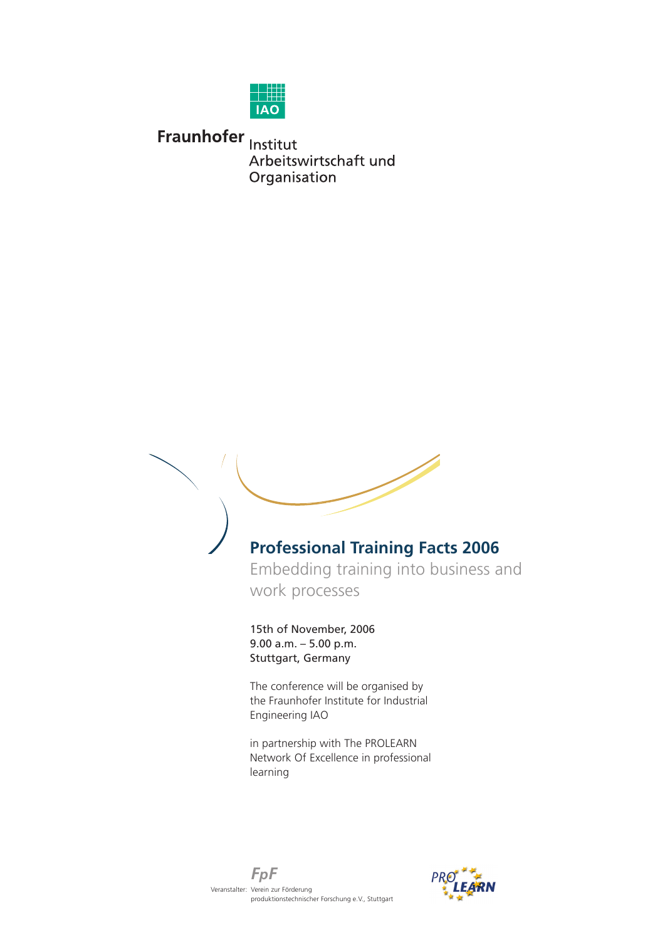

Fraunhofer Institut Arbeitswirtschaft und Organisation



The conference will be organised by the Fraunhofer Institute for Industrial Engineering IAO

in partnership with The PROLEARN Network Of Excellence in professional learning



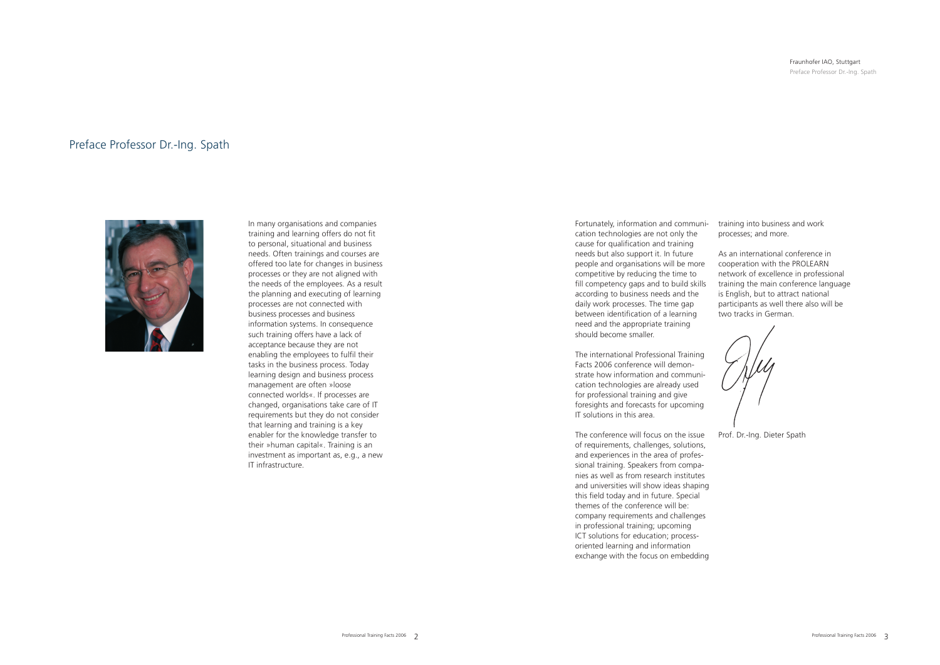## Preface Professor Dr.-Ing. Spath



In many organisations and companies training and learning offers do not fit to personal, situational and business needs. Often trainings and courses are offered too late for changes in business processes or they are not aligned with the needs of the employees. As a result the planning and executing of learning processes are not connected with business processes and business information systems. In consequence such training offers have a lack of acceptance because they are not enabling the employees to fulfil their tasks in the business process. Today learning design and business process management are often »loose connected worlds«. If processes are changed, organisations take care of IT requirements but they do not consider that learning and training is a key enabler for the knowledge transfer to their »human capital«. Training is an investment as important as, e.g., a new IT infrastructure.

Fortunately, information and communication technologies are not only the cause for qualification and training needs but also support it. In future people and organisations will be more competitive by reducing the time to fill competency gaps and to build skills according to business needs and the daily work processes. The time gap between identification of a learning need and the appropriate training should become smaller.

#### Fraunhofer IAO, Stuttgart Preface Professor Dr.-Ing. Spath

The international Professional Training Facts 2006 conference will demonstrate how information and communication technologies are already used for professional training and give foresights and forecasts for upcoming IT solutions in this area.

The conference will focus on the issue of requirements, challenges, solutions, and experiences in the area of professional training. Speakers from companies as well as from research institutes and universities will show ideas shaping this field today and in future. Special themes of the conference will be: company requirements and challenges in professional training; upcoming ICT solutions for education; processoriented learning and information exchange with the focus on embedding

training into business and work processes; and more.

As an international conference in cooperation with the PROLEARN network of excellence in professional training the main conference language is English, but to attract national participants as well there also will be two tracks in German.

Prof. Dr.-Ing. Dieter Spath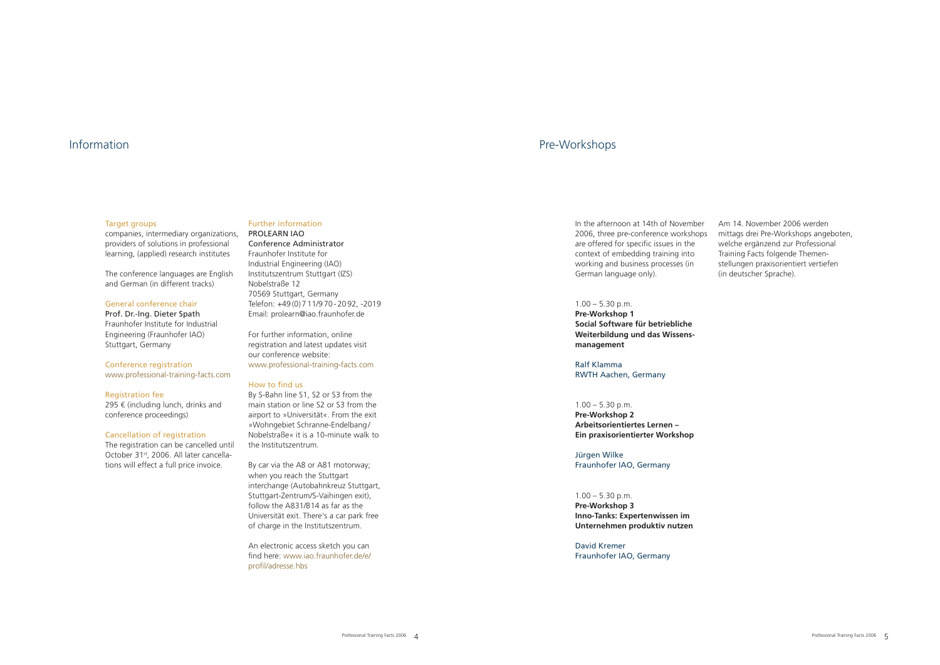#### **Target groups**

companies, intermediary organizations, providers of solutions in professional learning, (applied) research institutes

The conference languages are English and German (in different tracks)

295  $\epsilon$  (including lunch, drinks and conference proceedings)

#### General conference chair

Prof. Dr.-Ing. Dieter Spath Fraunhofer Institute for Industrial Engineering (Fraunhofer IAO) Stuttgart, Germany

#### Conference registration [www.professional-training-facts.com](http://www.professional-training-facts.com)

#### Registration fee

#### Cancellation of registration

The registration can be cancelled until October 31st, 2006. All later cancellations will effect a full price invoice.

### Further information

PROLEARN IAO Conference Administrator Fraunhofer Institute for Industrial Engineering (IAO) Institutszentrum Stuttgart (IZS) Nobelstraße 12 70569 Stuttgart, Germany Telefon: +49 (0) 7 11/9 70 - 20 92, -2019 Email: prolearn@iao.fraunhofer.de

For further information, online registration and latest updates visit our conference website: [www.professional-training-facts.com](http://www.professional-training-facts.com)

#### How to find us

 $1.00 - 5.30$  p.m. **Pre-Workshop 3 Inno-Tanks: Expertenwissen im Unternehmen produktiv nutzen**

By S-Bahn line S1, S2 or S3 from the main station or line S2 or S3 from the airport to »Universität«. From the exit »Wohngebiet Schranne-Endelbang / Nobelstraße« it is a 10-minute walk to the Institutszentrum.

By car via the A8 or A81 motorway; when you reach the Stuttgart interchange (Autobahnkreuz Stuttgart, Stuttgart-Zentrum/S-Vaihingen exit), follow the A831/B14 as far as the Universität exit. There's a car park free of charge in the Institutszentrum.

An electronic access sketch you can find here: [www.iao.fraunhofer.de/e/](http://www.iao.fraunhofer.de/e/profil/adresse.hbs) [profil/adresse.hbs](http://www.iao.fraunhofer.de/e/profil/adresse.hbs)

## Information Pre-Workshops

In the afternoon at 14th of November 2006, three pre-conference workshops are offered for specific issues in the context of embedding training into working and business processes (in German language only).

### $1.00 - 5.30$  p.m.

**Pre-Workshop 1 Social Software für betriebliche Weiterbildung und das Wissensmanagement**

Ralf Klamma RWTH Aachen, Germany

#### $1.00 - 5.30$  p.m.

**Pre-Workshop 2 Arbeitsorientiertes Lernen – Ein praxisorientierter Workshop**

Jürgen Wilke Fraunhofer IAO, Germany

David Kremer Fraunhofer IAO, Germany

Am 14. November 2006 werden mittags drei Pre-Workshops angeboten, welche ergänzend zur Professional Training Facts folgende Themenstellungen praxisorientiert vertiefen (in deutscher Sprache).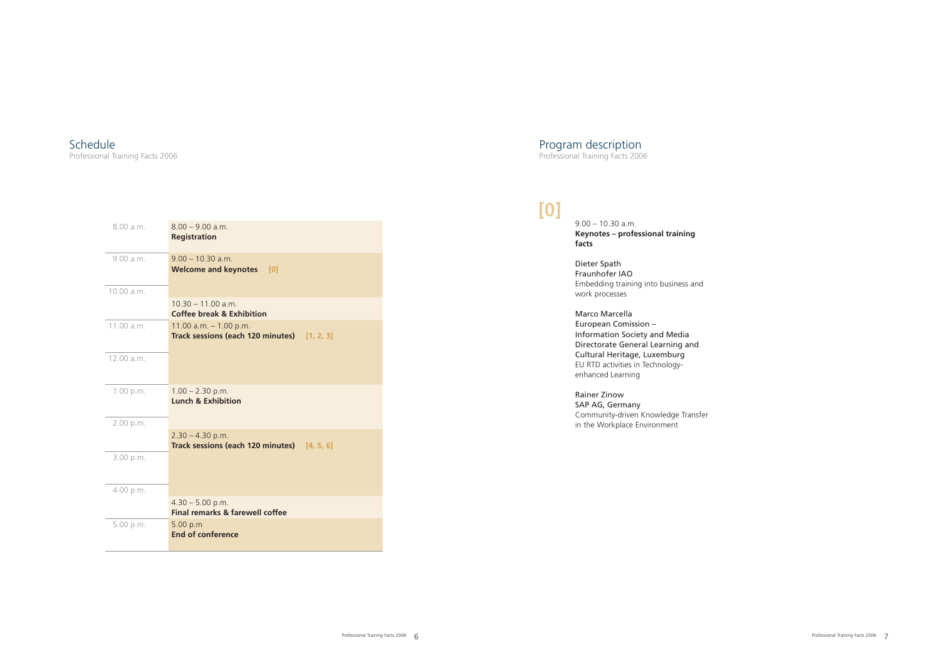## Program description

Professional Training Facts 2006

9.00 – 10.30 a.m. **Keynotes – professional training facts**

#### Dieter Spath Fraunhofer IAO Embedding training into business and work processes

Marco Marcella European Comission – Information Society and Media Directorate General Learning and Cultural Heritage, Luxemburg EU RTD activities in Technologyenhanced Learning

#### Rainer Zinow SAP AG, Germany Community-driven Knowledge Transfer in the Workplace Environment

| 8.00 a.m.  | $8.00 - 9.00$ a.m.<br><b>Registration</b>                               |
|------------|-------------------------------------------------------------------------|
| 9.00 a.m.  | $9.00 - 10.30$ a.m.<br><b>Welcome and keynotes</b><br>[0]               |
| 10.00 a.m. |                                                                         |
|            | $10.30 - 11.00$ a.m.<br><b>Coffee break &amp; Exhibition</b>            |
| 11.00 a.m. | 11.00 $a.m. - 1.00 p.m.$<br>Track sessions (each 120 minutes) [1, 2, 3] |
| 12.00 a.m. |                                                                         |
| 1.00 p.m.  | $1.00 - 2.30$ p.m.<br><b>Lunch &amp; Exhibition</b>                     |
| 2.00 p.m.  |                                                                         |
|            | $2.30 - 4.30$ p.m.<br>Track sessions (each 120 minutes) [4, 5, 6]       |
| 3.00 p.m.  |                                                                         |
| 4.00 p.m.  |                                                                         |
|            | $4.30 - 5.00$ p.m.<br><b>Final remarks &amp; farewell coffee</b>        |
| 5.00 p.m.  | 5.00 p.m<br><b>End of conference</b>                                    |

## **[0]**

## Schedule

Professional Training Facts 2006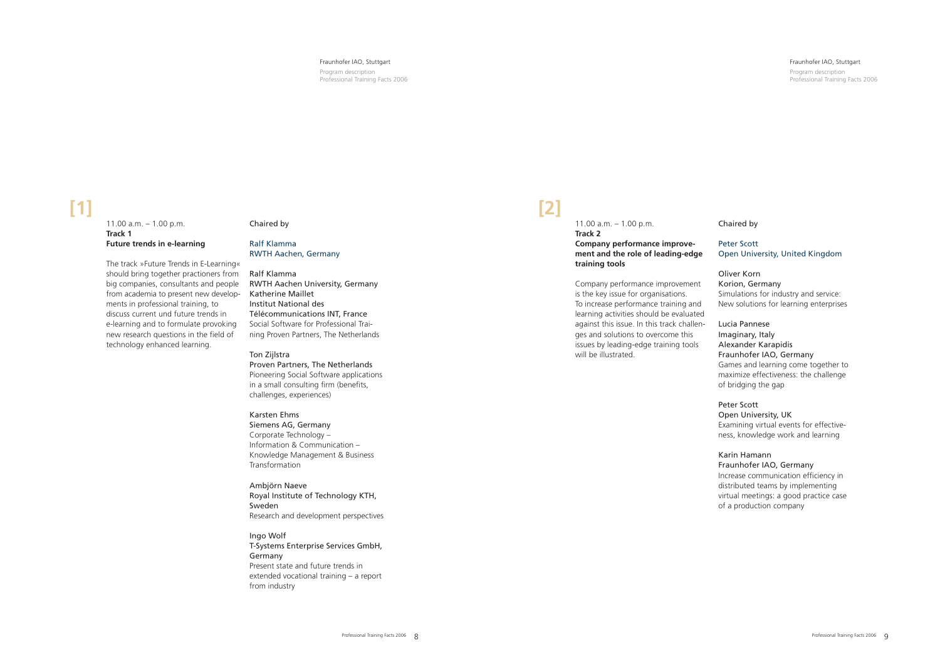#### $11.00$  a.m.  $-1.00$  p.m. **Track 2 Company performance improvement and the role of leading-edge training tools**

Company performance improvement is the key issue for organisations. To increase performance training and learning activities should be evaluated against this issue. In this track challenges and solutions to overcome this issues by leading-edge training tools will be illustrated.

Chaired by

### Peter Scott Open University, United Kingdom

Oliver Korn Korion, Germany Simulations for industry and service: New solutions for learning enterprises

#### $11.00$  a.m.  $-1.00$  p.m. **Track 1 Future trends in e-learning**

Lucia Pannese Imaginary, Italy Alexander Karapidis Fraunhofer IAO, Germany Games and learning come together to maximize effectiveness: the challenge of bridging the gap

#### Peter Scott Open University, UK Examining virtual events for effectiveness, knowledge work and learning

#### Karin Hamann Fraunhofer IAO, Germany Increase communication efficiency in distributed teams by implementing virtual meetings: a good practice case of a production company

## **[2]**

Program description Professional Training Facts 2006

#### Fraunhofer IAO, Stuttgart

Program description Professional Training Facts 2006

#### Fraunhofer IAO, Stuttgart

The track »Future Trends in E-Learning« should bring together practioners from big companies, consultants and people from academia to present new developments in professional training, to discuss current und future trends in e-learning and to formulate provoking new research questions in the field of technology enhanced learning.

#### Chaired by

#### Ralf Klamma RWTH Aachen, Germany

#### Ralf Klamma

RWTH Aachen University, Germany Katherine Maillet Institut National des Télécommunications INT, France Social Software for Professional Training Proven Partners, The Netherlands

#### Ton Zijlstra

Proven Partners, The Netherlands Pioneering Social Software applications in a small consulting firm (benefits, challenges, experiences)

#### Karsten Ehms

Siemens AG, Germany Corporate Technology – Information & Communication – Knowledge Management & Business Transformation

Ambjörn Naeve Royal Institute of Technology KTH, Sweden Research and development perspectives

Ingo Wolf T-Systems Enterprise Services GmbH, Germany Present state and future trends in extended vocational training – a report from industry

# **[1]**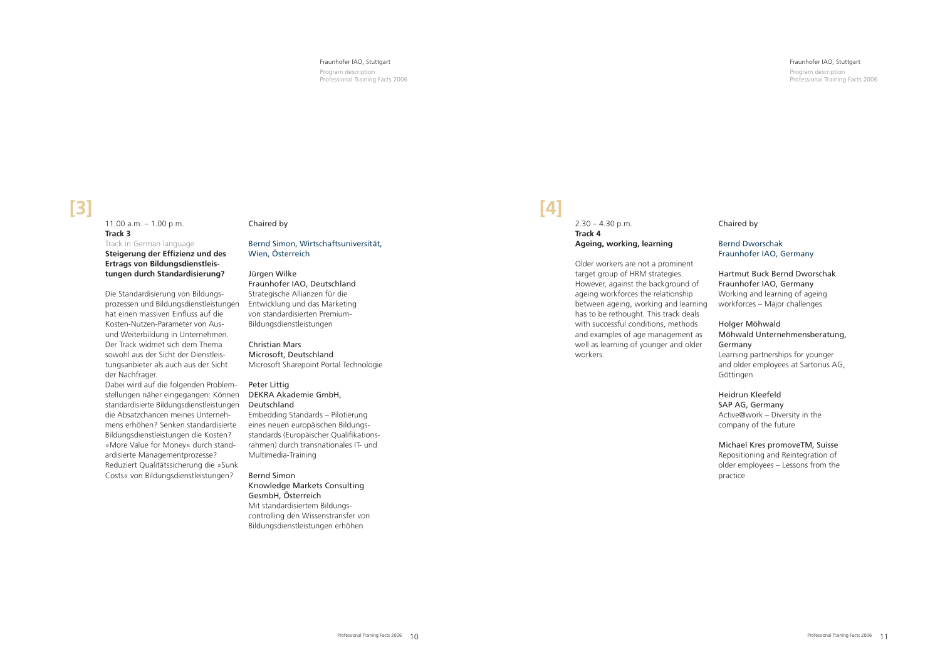#### Fraunhofer IAO, Stuttgart

#### $2.30 - 4.30$  p.m. **Track 4 Ageing, working, learning**

Program description Professional Training Facts 2006

#### Fraunhofer IAO, Stuttgart

Older workers are not a prominent target group of HRM strategies. However, against the background of ageing workforces the relationship between ageing, working and learning has to be rethought. This track deals with successful conditions, methods and examples of age management as well as learning of younger and older workers.

Chaired by

#### Bernd Dworschak Fraunhofer IAO, Germany

 $11.00$  a.m.  $-1.00$  p.m. **Track 3** Track in German language **Steigerung der Effizienz und des** 

#### Hartmut Buck Bernd Dworschak Fraunhofer IAO, Germany

Working and learning of ageing workforces – Major challenges

### Holger Möhwald

#### Möhwald Unternehmensberatung, Germany

Learning partnerships for younger and older employees at Sartorius AG, Göttingen

### Heidrun Kleefeld

SAP AG, Germany Active@work – Diversity in the company of the future

### Michael Kres promoveTM, Suisse

Repositioning and Reintegration of older employees – Lessons from the practice

## **[4]**

Program description Professional Training Facts 2006

**Ertrags von Bildungsdienstleistungen durch Standardisierung?**

Die Standardisierung von Bildungsprozessen und Bildungsdienstleistungen hat einen massiven Einfluss auf die Kosten-Nutzen-Parameter von Ausund Weiterbildung in Unternehmen. Der Track widmet sich dem Thema sowohl aus der Sicht der Dienstleistungsanbieter als auch aus der Sicht der Nachfrager.

Dabei wird auf die folgenden Problemstellungen näher eingegangen: Können standardisierte Bildungsdienstleistungen die Absatzchancen meines Unternehmens erhöhen? Senken standardisierte Bildungsdienstleistungen die Kosten? »More Value for Money« durch standardisierte Managementprozesse? Reduziert Qualitätssicherung die »Sunk Costs« von Bildungsdienstleistungen?

#### Chaired by

#### Bernd Simon, Wirtschaftsuniversität, Wien, Österreich

#### Jürgen Wilke

Fraunhofer IAO, Deutschland Strategische Allianzen für die Entwicklung und das Marketing von standardisierten Premium-Bildungsdienstleistungen

Christian Mars Microsoft, Deutschland Microsoft Sharepoint Portal Technologie

#### Peter Littig

DEKRA Akademie GmbH, Deutschland Embedding Standards – Pilotierung eines neuen europäischen Bildungsstandards (Europäischer Qualifikationsrahmen) durch transnationales IT- und Multimedia-Training

#### Bernd Simon Knowledge Markets Consulting

GesmbH, Österreich

Mit standardisiertem Bildungscontrolling den Wissenstransfer von Bildungsdienstleistungen erhöhen

# **[3]**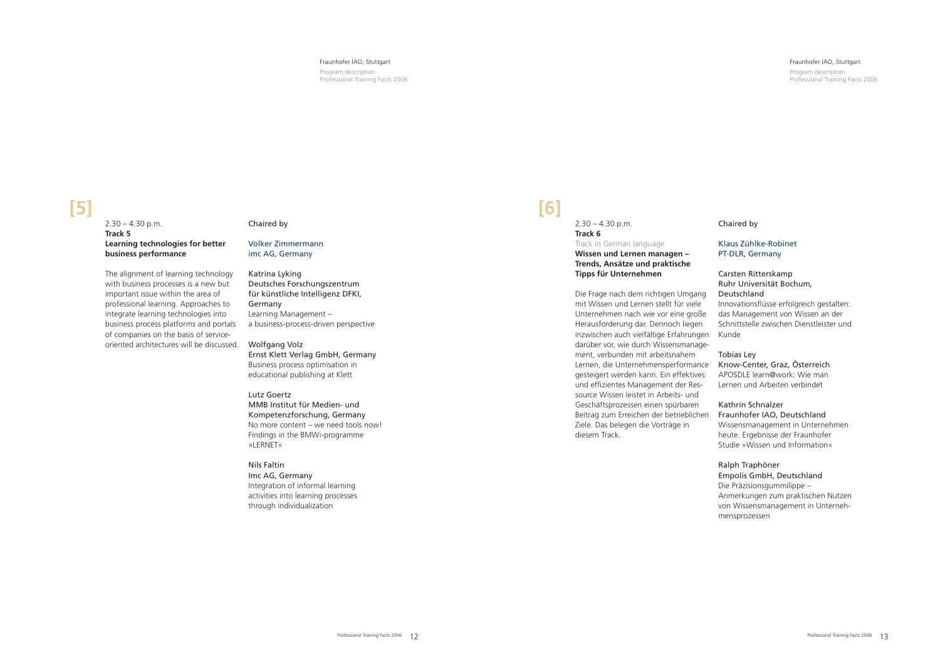Program description Professional Training Facts 2006

#### $2.30 - 4.30$  p.m. **Track 5 Learning technologies for better business performance**

The alignment of learning technology with business processes is a new but important issue within the area of professional learning. Approaches to integrate learning technologies into business process platforms and portals of companies on the basis of serviceoriented architectures will be discussed.

#### Chaired by

#### Volker Zimmermann imc AG, Germany

#### $2.30 - 4.30$  p.m. **Track 6** Track in German language **Wissen und Lernen managen – Trends, Ansätze und praktische Tipps für Unternehmen**

Katrina Lyking Deutsches Forschungszentrum für künstliche Intelligenz DFKI, Germany Learning Management – a business-process-driven perspective

Wolfgang Volz Ernst Klett Verlag GmbH, Germany Business process optimisation in educational publishing at Klett

Lutz Goertz MMB Institut für Medien- und Kompetenzforschung, Germany No more content – we need tools now! Findings in the BMWi-programme »LERNET«

Nils Faltin Imc AG, Germany Integration of informal learning activities into learning processes through individualization

## **[5]**

#### Fraunhofer IAO, Stuttgart

Die Frage nach dem richtigen Umgang mit Wissen und Lernen stellt für viele Unternehmen nach wie vor eine große Herausforderung dar. Dennoch liegen inzwischen auch vielfältige Erfahrungen darüber vor, wie durch Wissensmanagement, verbunden mit arbeitsnahem Lernen, die Unternehmensperformance Know-Center, Graz, Österreich gesteigert werden kann. Ein effektives und effizientes Management der Ressource Wissen leistet in Arbeits- und Geschäftsprozessen einen spürbaren Beitrag zum Erreichen der betrieblichen Ziele. Das belegen die Vorträge in diesem Track.

Chaired by

#### Klaus Zühlke-Robinet PT-DLR, Germany

#### Carsten Ritterskamp Ruhr Universität Bochum, Deutschland

Innovationsflüsse erfolgreich gestalten: das Management von Wissen an der Schnittstelle zwischen Dienstleister und Kunde

#### Tobias Ley

APOSDLE learn@work: Wie man Lernen und Arbeiten verbindet

#### Kathrin Schnalzer

Fraunhofer IAO, Deutschland Wissensmanagement in Unternehmen heute. Ergebnisse der Fraunhofer Studie »Wissen und Information«

#### Ralph Traphöner

Empolis GmbH, Deutschland

Die Präzisionsgummilippe – Anmerkungen zum praktischen Nutzen von Wissensmanagement in Unternehmensprozessen

Program description Professional Training Facts 2006

## **[6]**

#### Fraunhofer IAO, Stuttgart